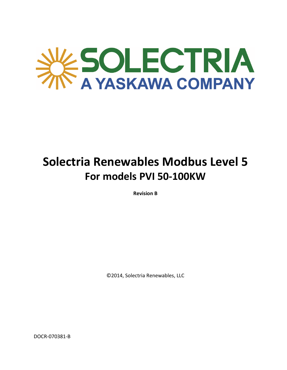

# **Solectria Renewables Modbus Level 5 For models PVI 50‐100KW**

**Revision B**

©2014, Solectria Renewables, LLC

DOCR‐070381‐B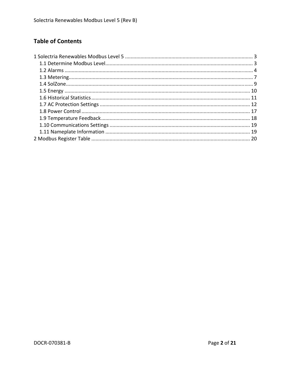# **Table of Contents**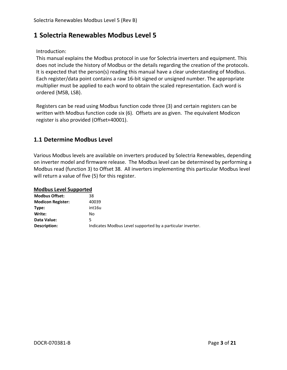# **1 Solectria Renewables Modbus Level 5**

Introduction:

This manual explains the Modbus protocol in use for Solectria inverters and equipment. This does not include the history of Modbus or the details regarding the creation of the protocols. It is expected that the person(s) reading this manual have a clear understanding of Modbus. Each register/data point contains a raw 16‐bit signed or unsigned number. The appropriate multiplier must be applied to each word to obtain the scaled representation. Each word is ordered {MSB, LSB}.

Registers can be read using Modbus function code three (3) and certain registers can be written with Modbus function code six (6). Offsets are as given. The equivalent Modicon register is also provided (Offset+40001).

### **1.1 Determine Modbus Level**

Various Modbus levels are available on inverters produced by Solectria Renewables, depending on inverter model and firmware release. The Modbus level can be determined by performing a Modbus read (function 3) to Offset 38. All inverters implementing this particular Modbus level will return a value of five (5) for this register.

|  | <b>Modbus Level Supported</b> |  |
|--|-------------------------------|--|
|  |                               |  |

| <b>Modbus Offset:</b>    | 38                                                         |
|--------------------------|------------------------------------------------------------|
| <b>Modicon Register:</b> | 40039                                                      |
| Type:                    | int16u                                                     |
| Write:                   | Nο                                                         |
| Data Value:              |                                                            |
| Description:             | Indicates Modbus Level supported by a particular inverter. |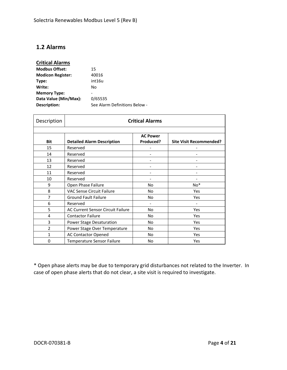### **1.2 Alarms**

### **Critical Alarms**

| <b>Modbus Offset:</b>    | 15                            |
|--------------------------|-------------------------------|
| <b>Modicon Register:</b> | 40016                         |
| Type:                    | int16u                        |
| Write:                   | No                            |
| <b>Memory Type:</b>      |                               |
| Data Value (Min/Max):    | 0/65535                       |
| Description:             | See Alarm Definitions Below - |

| Description    | <b>Critical Alarms</b>                   |                              |                                |
|----------------|------------------------------------------|------------------------------|--------------------------------|
| <b>Bit</b>     | <b>Detailed Alarm Description</b>        | <b>AC Power</b><br>Produced? | <b>Site Visit Recommended?</b> |
| 15             | Reserved                                 |                              |                                |
| 14             | Reserved                                 |                              |                                |
| 13             | Reserved                                 | $\qquad \qquad \blacksquare$ |                                |
| 12             | Reserved                                 | $\overline{\phantom{0}}$     |                                |
| 11             | Reserved                                 | $\overline{\phantom{0}}$     |                                |
| 10             | Reserved                                 |                              |                                |
| 9              | Open Phase Failure                       | <b>No</b>                    | $No*$                          |
| 8              | <b>VAC Sense Circuit Failure</b>         | <b>No</b>                    | Yes                            |
| 7              | <b>Ground Fault Failure</b>              | <b>No</b>                    | Yes                            |
| 6              | Reserved                                 | $\overline{\phantom{0}}$     |                                |
| 5              | <b>AC Current Sensor Circuit Failure</b> | <b>No</b>                    | Yes                            |
| 4              | <b>Contactor Failure</b>                 | <b>No</b>                    | Yes                            |
| 3              | Power Stage Desaturation                 | <b>No</b>                    | Yes                            |
| $\overline{2}$ | Power Stage Over Temperature             | <b>No</b>                    | Yes                            |
| $\mathbf{1}$   | <b>AC Contactor Opened</b>               | No                           | Yes                            |
| 0              | Temperature Sensor Failure               | No                           | Yes                            |

\* Open phase alerts may be due to temporary grid disturbances not related to the Inverter. In case of open phase alerts that do not clear, a site visit is required to investigate.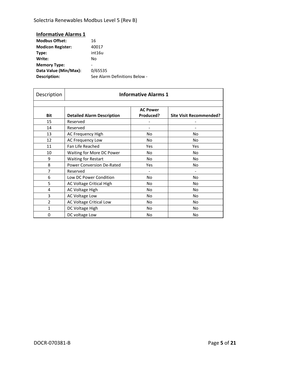Solectria Renewables Modbus Level 5 (Rev B)

| 16                            |
|-------------------------------|
| 40017                         |
| int16u                        |
| N٥                            |
|                               |
| 0/65535                       |
| See Alarm Definitions Below - |
|                               |

| Description  | <b>Informative Alarms 1</b>       |                              |                                |
|--------------|-----------------------------------|------------------------------|--------------------------------|
| Bit          | <b>Detailed Alarm Description</b> | <b>AC Power</b><br>Produced? | <b>Site Visit Recommended?</b> |
| 15           | Reserved                          |                              |                                |
| 14           | Reserved                          |                              |                                |
| 13           | AC Frequency High                 | No                           | No                             |
| 12           | AC Frequency Low                  | No                           | No                             |
| 11           | Fan Life Reached                  | Yes                          | Yes                            |
| 10           | Waiting for More DC Power         | No.                          | No                             |
| 9            | <b>Waiting for Restart</b>        | No                           | No                             |
| 8            | <b>Power Conversion De-Rated</b>  | Yes                          | No.                            |
| 7            | Reserved                          |                              |                                |
| 6            | Low DC Power Condition            | No                           | No                             |
| 5            | AC Voltage Critical High          | No                           | No                             |
| 4            | AC Voltage High                   | No                           | No                             |
| 3            | AC Voltage Low                    | No.                          | <b>No</b>                      |
| 2            | <b>AC Voltage Critical Low</b>    | No                           | No.                            |
| $\mathbf{1}$ | DC Voltage High                   | No                           | No                             |
| 0            | DC voltage Low                    | No                           | No                             |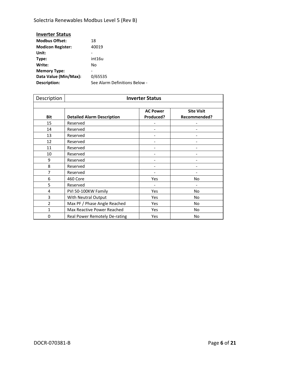Solectria Renewables Modbus Level 5 (Rev B)

| 18                            |
|-------------------------------|
| 40019                         |
|                               |
| int16u                        |
| No                            |
| -                             |
| 0/65535                       |
| See Alarm Definitions Below - |
|                               |

| Description    | <b>Inverter Status</b>            |                 |                   |
|----------------|-----------------------------------|-----------------|-------------------|
|                |                                   |                 |                   |
|                |                                   | <b>AC Power</b> | <b>Site Visit</b> |
| <b>Bit</b>     | <b>Detailed Alarm Description</b> | Produced?       | Recommended?      |
| 15             | Reserved                          |                 |                   |
| 14             | Reserved                          |                 |                   |
| 13             | Reserved                          |                 |                   |
| 12             | Reserved                          |                 |                   |
| 11             | Reserved                          |                 |                   |
| 10             | Reserved                          |                 |                   |
| 9              | Reserved                          |                 |                   |
| 8              | Reserved                          |                 |                   |
| 7              | Reserved                          |                 |                   |
| 6              | 460 Core                          | Yes             | N <sub>o</sub>    |
| 5              | Reserved                          |                 |                   |
| 4              | PVI 50-100KW Family               | Yes             | N <sub>o</sub>    |
| 3              | With Neutral Output               | Yes             | No                |
| $\overline{2}$ | Max PF / Phase Angle Reached      | Yes             | No                |
| $\mathbf{1}$   | Max Reactive Power Reached        | Yes             | No                |
| 0              | Real Power Remotely De-rating     | Yes             | No                |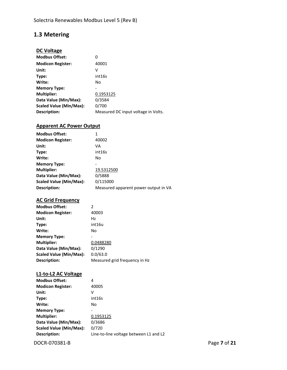# **1.3 Metering**

### **DC Voltage**

| <b>Modbus Offset:</b>          | 0                                   |
|--------------------------------|-------------------------------------|
| <b>Modicon Register:</b>       | 40001                               |
| Unit:                          | v                                   |
| Type:                          | int16s                              |
| Write:                         | No                                  |
| <b>Memory Type:</b>            |                                     |
| <b>Multiplier:</b>             | 0.1953125                           |
| Data Value (Min/Max):          | 0/3584                              |
| <b>Scaled Value (Min/Max):</b> | 0/700                               |
| Description:                   | Measured DC input voltage in Volts. |

#### **Apparent AC Power Output**

| <b>Modbus Offset:</b>    | 1                                    |
|--------------------------|--------------------------------------|
| <b>Modicon Register:</b> | 40002                                |
| Unit:                    | VA                                   |
| Type:                    | int16s                               |
| Write:                   | No                                   |
| <b>Memory Type:</b>      |                                      |
| <b>Multiplier:</b>       | 19.5312500                           |
| Data Value (Min/Max):    | 0/5888                               |
| Scaled Value (Min/Max):  | 0/115000                             |
| Description:             | Measured apparent power output in VA |

#### **AC Grid Frequency**

| <b>Modbus Offset:</b>    | 2                             |
|--------------------------|-------------------------------|
| <b>Modicon Register:</b> | 40003                         |
| Unit:                    | Hz                            |
| Type:                    | int16u                        |
| Write:                   | No                            |
| <b>Memory Type:</b>      |                               |
| <b>Multiplier:</b>       | 0.0488280                     |
| Data Value (Min/Max):    | 0/1290                        |
| Scaled Value (Min/Max):  | 0.0/63.0                      |
| Description:             | Measured grid frequency in Hz |

#### **L1‐to‐L2 AC Voltage**

| <b>Modbus Offset:</b>    | 4                                      |
|--------------------------|----------------------------------------|
| <b>Modicon Register:</b> | 40005                                  |
| Unit:                    | v                                      |
| Type:                    | int16s                                 |
| Write:                   | No                                     |
| <b>Memory Type:</b>      |                                        |
| <b>Multiplier:</b>       | 0.1953125                              |
| Data Value (Min/Max):    | 0/3686                                 |
| Scaled Value (Min/Max):  | 0/720                                  |
| Description:             | Line-to-line voltage between L1 and L2 |

DOCR‐070381‐B Page **7** of **21**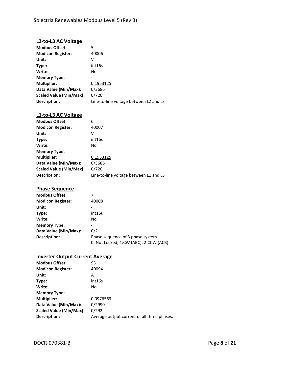#### **L2‐to‐L3 AC Voltage**

| <b>Modbus Offset:</b>    | 5                                      |
|--------------------------|----------------------------------------|
| <b>Modicon Register:</b> | 40006                                  |
| Unit:                    | V                                      |
| Type:                    | int16s                                 |
| Write:                   | No                                     |
| <b>Memory Type:</b>      |                                        |
| <b>Multiplier:</b>       | 0.1953125                              |
| Data Value (Min/Max):    | 0/3686                                 |
| Scaled Value (Min/Max):  | 0/720                                  |
| Description:             | Line-to-line voltage between L2 and L3 |

### **L1‐to‐L3 AC Voltage**

| <b>Modbus Offset:</b>    | 6                                      |
|--------------------------|----------------------------------------|
| <b>Modicon Register:</b> | 40007                                  |
| Unit:                    | v                                      |
| Type:                    | int16s                                 |
| Write:                   | No                                     |
| <b>Memory Type:</b>      |                                        |
| <b>Multiplier:</b>       | 0.1953125                              |
| Data Value (Min/Max):    | 0/3686                                 |
| Scaled Value (Min/Max):  | 0/720                                  |
| Description:             | Line-to-line voltage between L1 and L3 |

### **Phase Sequence**

| <b>Modbus Offset:</b>    |                                        |
|--------------------------|----------------------------------------|
| <b>Modicon Register:</b> | 40008                                  |
| Unit:                    |                                        |
| Type:                    | int16u                                 |
| Write:                   | No                                     |
| <b>Memory Type:</b>      |                                        |
| Data Value (Min/Max):    | 0/2                                    |
| Description:             | Phase sequence of 3 phase system.      |
|                          | 0: Not Locked; 1:CW (ABC); 2:CCW (ACB) |

#### **Inverter Output Current Average**

| <b>Modbus Offset:</b>    | 93                                          |
|--------------------------|---------------------------------------------|
| <b>Modicon Register:</b> | 40094                                       |
| Unit:                    | А                                           |
| Type:                    | int16s                                      |
| Write:                   | No                                          |
| <b>Memory Type:</b>      |                                             |
| <b>Multiplier:</b>       | 0.0976563                                   |
| Data Value (Min/Max):    | 0/2990                                      |
| Scaled Value (Min/Max):  | 0/292                                       |
| Description:             | Average output current of all three phases. |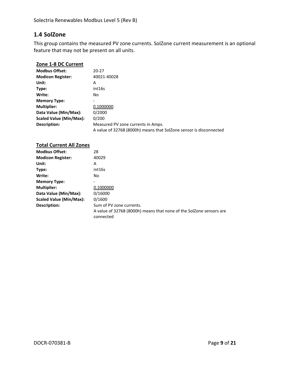### **1.4 SolZone**

This group contains the measured PV zone currents. SolZone current measurement is an optional feature that may not be present on all units.

#### **Zone 1‐8 DC Current**

| <b>Modbus Offset:</b>    | 20-27                                                              |
|--------------------------|--------------------------------------------------------------------|
| <b>Modicon Register:</b> | 40021-40028                                                        |
| Unit:                    | А                                                                  |
| Type:                    | int16s                                                             |
| Write:                   | No.                                                                |
| <b>Memory Type:</b>      |                                                                    |
| <b>Multiplier:</b>       | 0.1000000                                                          |
| Data Value (Min/Max):    | 0/2000                                                             |
| Scaled Value (Min/Max):  | 0/200                                                              |
| Description:             | Measured PV zone currents in Amps.                                 |
|                          | A value of 32768 (8000h) means that SolZone sensor is disconnected |

| <b>Total Current All Zones</b> |                                                                                  |
|--------------------------------|----------------------------------------------------------------------------------|
| <b>Modbus Offset:</b>          | 28                                                                               |
| <b>Modicon Register:</b>       | 40029                                                                            |
| Unit:                          | А                                                                                |
| Type:                          | int16s                                                                           |
| Write:                         | No.                                                                              |
| <b>Memory Type:</b>            |                                                                                  |
| <b>Multiplier:</b>             | 0.1000000                                                                        |
| Data Value (Min/Max):          | 0/16000                                                                          |
| Scaled Value (Min/Max):        | 0/1600                                                                           |
| Description:                   | Sum of PV zone currents.                                                         |
|                                | A value of 32768 (8000h) means that none of the SolZone sensors are<br>connected |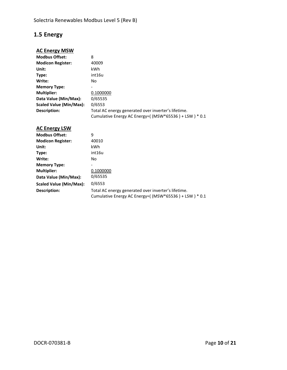# **1.5 Energy**

### **AC Energy MSW**

| <b>Modbus Offset:</b>    | 8                                                     |
|--------------------------|-------------------------------------------------------|
| <b>Modicon Register:</b> | 40009                                                 |
| Unit:                    | kWh                                                   |
| Type:                    | int16u                                                |
| Write:                   | No.                                                   |
| <b>Memory Type:</b>      | -                                                     |
| <b>Multiplier:</b>       | 0.1000000                                             |
| Data Value (Min/Max):    | 0/65535                                               |
| Scaled Value (Min/Max):  | 0/6553                                                |
| Description:             | Total AC energy generated over inverter's lifetime.   |
|                          | Cumulative Energy AC Energy=((MSW*65536) + LSW) * 0.1 |

#### **AC Energy LSW**

| <b>Modbus Offset:</b>    | 9                                                                                                            |
|--------------------------|--------------------------------------------------------------------------------------------------------------|
| <b>Modicon Register:</b> | 40010                                                                                                        |
| Unit:                    | kWh                                                                                                          |
| Type:                    | int16u                                                                                                       |
| Write:                   | No.                                                                                                          |
| <b>Memory Type:</b>      | -                                                                                                            |
| <b>Multiplier:</b>       | 0.1000000                                                                                                    |
| Data Value (Min/Max):    | 0/65535                                                                                                      |
| Scaled Value (Min/Max):  | 0/6553                                                                                                       |
| Description:             | Total AC energy generated over inverter's lifetime.<br>Cumulative Energy AC Energy=((MSW*65536) + LSW) * 0.1 |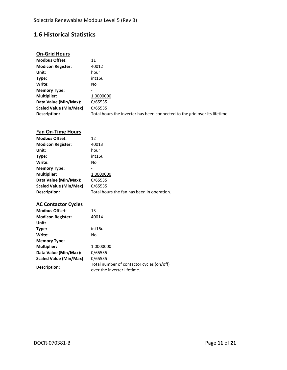# **1.6 Historical Statistics**

### **On‐Grid Hours**

| <b>Modbus Offset:</b>    | 11                                                                         |
|--------------------------|----------------------------------------------------------------------------|
| <b>Modicon Register:</b> | 40012                                                                      |
| Unit:                    | hour                                                                       |
| Type:                    | int16u                                                                     |
| Write:                   | No                                                                         |
| <b>Memory Type:</b>      |                                                                            |
| <b>Multiplier:</b>       | 1.0000000                                                                  |
| Data Value (Min/Max):    | 0/65535                                                                    |
| Scaled Value (Min/Max):  | 0/65535                                                                    |
| Description:             | Total hours the inverter has been connected to the grid over its lifetime. |

### **Fan On‐Time Hours**

| <b>Modbus Offset:</b>    | 12                                         |
|--------------------------|--------------------------------------------|
| <b>Modicon Register:</b> | 40013                                      |
| Unit:                    | hour                                       |
| Type:                    | int16u                                     |
| Write:                   | No                                         |
| <b>Memory Type:</b>      |                                            |
| <b>Multiplier:</b>       | 1.0000000                                  |
| Data Value (Min/Max):    | 0/65535                                    |
| Scaled Value (Min/Max):  | 0/65535                                    |
| Description:             | Total hours the fan has been in operation. |

### **AC Contactor Cycles**

| <b>Modbus Offset:</b>    | 13                                                                       |
|--------------------------|--------------------------------------------------------------------------|
| <b>Modicon Register:</b> | 40014                                                                    |
| Unit:                    |                                                                          |
| Type:                    | int16u                                                                   |
| Write:                   | No                                                                       |
| <b>Memory Type:</b>      |                                                                          |
| <b>Multiplier:</b>       | 1.0000000                                                                |
| Data Value (Min/Max):    | 0/65535                                                                  |
| Scaled Value (Min/Max):  | 0/65535                                                                  |
| Description:             | Total number of contactor cycles (on/off)<br>over the inverter lifetime. |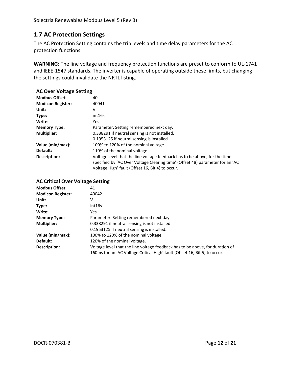### **1.7 AC Protection Settings**

The AC Protection Setting contains the trip levels and time delay parameters for the AC protection functions.

**WARNING:** The line voltage and frequency protection functions are preset to conform to UL‐1741 and IEEE‐1547 standards. The inverter is capable of operating outside these limits, but changing the settings could invalidate the NRTL listing.

| <b>AC Over Voltage Setting</b> |                                                                                                                                                                                                                 |
|--------------------------------|-----------------------------------------------------------------------------------------------------------------------------------------------------------------------------------------------------------------|
| <b>Modbus Offset:</b>          | 40                                                                                                                                                                                                              |
| <b>Modicon Register:</b>       | 40041                                                                                                                                                                                                           |
| Unit:                          | ٧                                                                                                                                                                                                               |
| Type:                          | int16s                                                                                                                                                                                                          |
| Write:                         | Yes                                                                                                                                                                                                             |
| <b>Memory Type:</b>            | Parameter. Setting remembered next day.                                                                                                                                                                         |
| <b>Multiplier:</b>             | 0.338291 if neutral sensing is not installed.                                                                                                                                                                   |
|                                | 0.1953125 if neutral sensing is installed.                                                                                                                                                                      |
| Value (min/max):               | 100% to 120% of the nominal voltage.                                                                                                                                                                            |
| Default:                       | 110% of the nominal voltage.                                                                                                                                                                                    |
| Description:                   | Voltage level that the line voltage feedback has to be above, for the time<br>specified by 'AC Over Voltage Clearing time' (Offset 48) parameter for an 'AC<br>Voltage High' fault (Offset 16, Bit 4) to occur. |

#### **AC Critical Over Voltage Setting**

| <b>Modbus Offset:</b>    | 41                                                                            |
|--------------------------|-------------------------------------------------------------------------------|
| <b>Modicon Register:</b> | 40042                                                                         |
| Unit:                    | v                                                                             |
| Type:                    | int16s                                                                        |
| Write:                   | Yes.                                                                          |
| <b>Memory Type:</b>      | Parameter. Setting remembered next day.                                       |
| <b>Multiplier:</b>       | 0.338291 if neutral sensing is not installed.                                 |
|                          | 0.1953125 if neutral sensing is installed.                                    |
| Value (min/max):         | 100% to 120% of the nominal voltage.                                          |
| Default:                 | 120% of the nominal voltage.                                                  |
| Description:             | Voltage level that the line voltage feedback has to be above, for duration of |
|                          | 160ms for an 'AC Voltage Critical High' fault (Offset 16, Bit 5) to occur.    |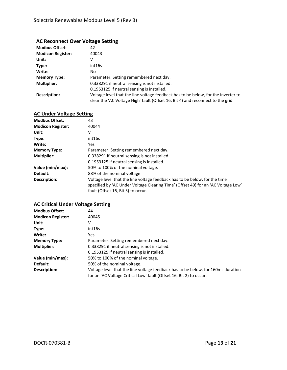#### **AC Reconnect Over Voltage Setting**

| <b>Modbus Offset:</b>    | 42                                                                                                                                                                   |
|--------------------------|----------------------------------------------------------------------------------------------------------------------------------------------------------------------|
| <b>Modicon Register:</b> | 40043                                                                                                                                                                |
| Unit:                    | V                                                                                                                                                                    |
| Type:                    | int16s                                                                                                                                                               |
| Write:                   | No                                                                                                                                                                   |
| <b>Memory Type:</b>      | Parameter. Setting remembered next day.                                                                                                                              |
| <b>Multiplier:</b>       | 0.338291 if neutral sensing is not installed.                                                                                                                        |
|                          | 0.1953125 if neutral sensing is installed.                                                                                                                           |
| Description:             | Voltage level that the line voltage feedback has to be below, for the inverter to<br>clear the 'AC Voltage High' fault (Offset 16, Bit 4) and reconnect to the grid. |

| <b>AC Under Voltage Setting</b>   |                                                                                                                                                                 |
|-----------------------------------|-----------------------------------------------------------------------------------------------------------------------------------------------------------------|
| <b>Modbus Offset:</b><br>43       |                                                                                                                                                                 |
| <b>Modicon Register:</b><br>40044 |                                                                                                                                                                 |
| v                                 |                                                                                                                                                                 |
| int16s                            |                                                                                                                                                                 |
| Yes                               |                                                                                                                                                                 |
| <b>Memory Type:</b>               | Parameter. Setting remembered next day.                                                                                                                         |
|                                   | 0.338291 if neutral sensing is not installed.                                                                                                                   |
|                                   | 0.1953125 if neutral sensing is installed.                                                                                                                      |
| Value (min/max):                  | 50% to 100% of the nominal voltage.                                                                                                                             |
|                                   | 88% of the nominal voltage                                                                                                                                      |
|                                   | Voltage level that the line voltage feedback has to be below, for the time<br>specified by 'AC Under Voltage Clearing Time' (Offset 49) for an 'AC Voltage Low' |
|                                   | fault (Offset 16, Bit 3) to occur.                                                                                                                              |

#### **AC Critical Under Voltage Setting**

| <b>Modbus Offset:</b>    | 44                                                                               |
|--------------------------|----------------------------------------------------------------------------------|
| <b>Modicon Register:</b> | 40045                                                                            |
| Unit:                    | v                                                                                |
| Type:                    | int16s                                                                           |
| Write:                   | Yes                                                                              |
| <b>Memory Type:</b>      | Parameter. Setting remembered next day.                                          |
| <b>Multiplier:</b>       | 0.338291 if neutral sensing is not installed.                                    |
|                          | 0.1953125 if neutral sensing is installed.                                       |
| Value (min/max):         | 50% to 100% of the nominal voltage.                                              |
| Default:                 | 50% of the nominal voltage.                                                      |
| Description:             | Voltage level that the line voltage feedback has to be below, for 160ms duration |
|                          | for an 'AC Voltage Critical Low' fault (Offset 16, Bit 2) to occur.              |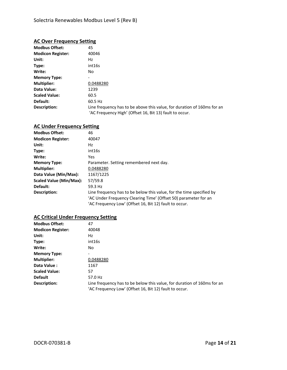#### **AC Over Frequency Setting**

| <b>Modbus Offset:</b>    | 45                                                                      |
|--------------------------|-------------------------------------------------------------------------|
| <b>Modicon Register:</b> | 40046                                                                   |
| Unit:                    | Hz                                                                      |
| Type:                    | int16s                                                                  |
| Write:                   | No.                                                                     |
| <b>Memory Type:</b>      |                                                                         |
| <b>Multiplier:</b>       | 0.0488280                                                               |
| Data Value:              | 1239                                                                    |
| <b>Scaled Value:</b>     | 60.5                                                                    |
| Default:                 | 60.5 Hz                                                                 |
| Description:             | Line frequency has to be above this value, for duration of 160ms for an |
|                          | 'AC Frequency High' (Offset 16, Bit 13) fault to occur.                 |

#### **AC Under Frequency Setting**

| <b>Modbus Offset:</b>    | 46                                                                                                                                      |
|--------------------------|-----------------------------------------------------------------------------------------------------------------------------------------|
| <b>Modicon Register:</b> | 40047                                                                                                                                   |
| Unit:                    | Hz                                                                                                                                      |
| Type:                    | int16s                                                                                                                                  |
| Write:                   | Yes.                                                                                                                                    |
| <b>Memory Type:</b>      | Parameter. Setting remembered next day.                                                                                                 |
| <b>Multiplier:</b>       | 0.0488280                                                                                                                               |
| Data Value (Min/Max):    | 1167/1225                                                                                                                               |
| Scaled Value (Min/Max):  | 57/59.8                                                                                                                                 |
| Default:                 | 59.3 Hz                                                                                                                                 |
| Description:             | Line frequency has to be below this value, for the time specified by<br>'AC Under Frequency Clearing Time' (Offset 50) parameter for an |
|                          | 'AC Frequency Low' (Offset 16, Bit 12) fault to occur.                                                                                  |

### **AC Critical Under Frequency Setting**

| <b>Modbus Offset:</b>    | 47                                                                                                                                |
|--------------------------|-----------------------------------------------------------------------------------------------------------------------------------|
| <b>Modicon Register:</b> | 40048                                                                                                                             |
| Unit:                    | Hz                                                                                                                                |
| Type:                    | int16s                                                                                                                            |
| Write:                   | No.                                                                                                                               |
| <b>Memory Type:</b>      | ۰                                                                                                                                 |
| <b>Multiplier:</b>       | 0.0488280                                                                                                                         |
| Data Value:              | 1167                                                                                                                              |
| <b>Scaled Value:</b>     | 57                                                                                                                                |
| <b>Default</b>           | 57.0 Hz                                                                                                                           |
| Description:             | Line frequency has to be below this value, for duration of 160ms for an<br>'AC Frequency Low' (Offset 16, Bit 12) fault to occur. |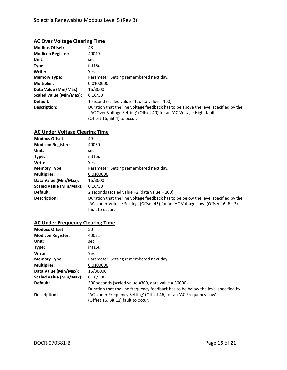#### **AC Over Voltage Clearing Time**

| <b>Modbus Offset:</b>    | 48                                                                                                                                                                                         |
|--------------------------|--------------------------------------------------------------------------------------------------------------------------------------------------------------------------------------------|
| <b>Modicon Register:</b> | 40049                                                                                                                                                                                      |
| Unit:                    | sec                                                                                                                                                                                        |
| Type:                    | int16u                                                                                                                                                                                     |
| Write:                   | Yes.                                                                                                                                                                                       |
| <b>Memory Type:</b>      | Parameter. Setting remembered next day.                                                                                                                                                    |
| <b>Multiplier:</b>       | 0.0100000                                                                                                                                                                                  |
| Data Value (Min/Max):    | 16/3000                                                                                                                                                                                    |
| Scaled Value (Min/Max):  | 0.16/30                                                                                                                                                                                    |
| Default:                 | 1 second (scaled value = 1, data value = $100$ )                                                                                                                                           |
| Description:             | Duration that the line voltage feedback has to be above the level specified by the<br>'AC Over Voltage Setting' (Offset 40) for an 'AC Voltage High' fault<br>(Offset 16, Bit 4) to occur. |

### **AC Under Voltage Clearing Time**

| <b>Modbus Offset:</b>    | 49                                                                                 |
|--------------------------|------------------------------------------------------------------------------------|
| <b>Modicon Register:</b> | 40050                                                                              |
| Unit:                    | sec                                                                                |
| Type:                    | int16u                                                                             |
| Write:                   | <b>Yes</b>                                                                         |
| <b>Memory Type:</b>      | Parameter. Setting remembered next day.                                            |
| <b>Multiplier:</b>       | 0.0100000                                                                          |
| Data Value (Min/Max):    | 16/3000                                                                            |
| Scaled Value (Min/Max):  | 0.16/30                                                                            |
| Default:                 | 2 seconds (scaled value $=2$ , data value $= 200$ )                                |
| Description:             | Duration that the line voltage feedback has to be below the level specified by the |
|                          | 'AC Under Voltage Setting' (Offset 43) for an 'AC Voltage Low' (Offset 16, Bit 3)  |
|                          | fault to occur.                                                                    |

### **AC Under Frequency Clearing Time**

| <b>Modbus Offset:</b>    | 50                                                                               |
|--------------------------|----------------------------------------------------------------------------------|
| <b>Modicon Register:</b> | 40051                                                                            |
| Unit:                    | sec                                                                              |
| Type:                    | int16u                                                                           |
| Write:                   | Yes.                                                                             |
| <b>Memory Type:</b>      | Parameter. Setting remembered next day.                                          |
| <b>Multiplier:</b>       | 0.0100000                                                                        |
| Data Value (Min/Max):    | 16/30000                                                                         |
| Scaled Value (Min/Max):  | 0.16/300                                                                         |
| Default:                 | 300 seconds (scaled value = 300, data value = 30000)                             |
|                          | Duration that the line frequency feedback has to be below the level specified by |
| Description:             | 'AC Under Frequency Setting' (Offset 46) for an 'AC Frequency Low'               |
|                          | (Offset 16, Bit 12) fault to occur.                                              |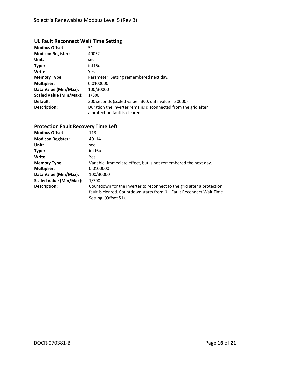#### **UL Fault Reconnect Wait Time Setting**

| <b>Modbus Offset:</b>    | 51                                                             |
|--------------------------|----------------------------------------------------------------|
| <b>Modicon Register:</b> | 40052                                                          |
| Unit:                    | sec                                                            |
| Type:                    | int16u                                                         |
| Write:                   | Yes                                                            |
| <b>Memory Type:</b>      | Parameter. Setting remembered next day.                        |
| <b>Multiplier:</b>       | 0.0100000                                                      |
| Data Value (Min/Max):    | 100/30000                                                      |
| Scaled Value (Min/Max):  | 1/300                                                          |
| Default:                 | 300 seconds (scaled value = 300, data value = 30000)           |
| Description:             | Duration the inverter remains disconnected from the grid after |
|                          | a protection fault is cleared.                                 |

#### **Protection Fault Recovery Time Left**

| <b>Modbus Offset:</b>    | 113                                                                                                                                                                      |
|--------------------------|--------------------------------------------------------------------------------------------------------------------------------------------------------------------------|
| <b>Modicon Register:</b> | 40114                                                                                                                                                                    |
| Unit:                    | sec                                                                                                                                                                      |
| Type:                    | int16u                                                                                                                                                                   |
| Write:                   | Yes.                                                                                                                                                                     |
| <b>Memory Type:</b>      | Variable. Immediate effect, but is not remembered the next day.                                                                                                          |
| <b>Multiplier:</b>       | 0.0100000                                                                                                                                                                |
| Data Value (Min/Max):    | 100/30000                                                                                                                                                                |
| Scaled Value (Min/Max):  | 1/300                                                                                                                                                                    |
| Description:             | Countdown for the inverter to reconnect to the grid after a protection<br>fault is cleared. Countdown starts from 'UL Fault Reconnect Wait Time<br>Setting' (Offset 51). |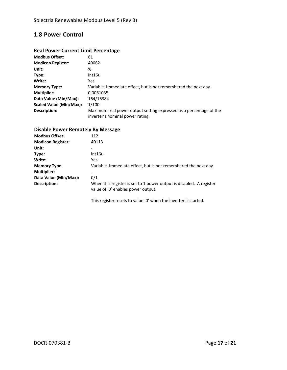### **1.8 Power Control**

### **Real Power Current Limit Percentage**

| <b>Modbus Offset:</b>    | 61                                                                                                     |
|--------------------------|--------------------------------------------------------------------------------------------------------|
| <b>Modicon Register:</b> | 40062                                                                                                  |
| Unit:                    | %                                                                                                      |
| Type:                    | int16u                                                                                                 |
| Write:                   | <b>Yes</b>                                                                                             |
| <b>Memory Type:</b>      | Variable. Immediate effect, but is not remembered the next day.                                        |
| <b>Multiplier:</b>       | 0.0061035                                                                                              |
| Data Value (Min/Max):    | 164/16384                                                                                              |
| Scaled Value (Min/Max):  | 1/100                                                                                                  |
| Description:             | Maximum real power output setting expressed as a percentage of the<br>inverter's nominal power rating. |

### **Disable Power Remotely By Message**

| <b>Modbus Offset:</b>    | 112                                                                                                       |
|--------------------------|-----------------------------------------------------------------------------------------------------------|
| <b>Modicon Register:</b> | 40113                                                                                                     |
| Unit:                    |                                                                                                           |
| Type:                    | int16u                                                                                                    |
| Write:                   | Yes.                                                                                                      |
| <b>Memory Type:</b>      | Variable. Immediate effect, but is not remembered the next day.                                           |
| <b>Multiplier:</b>       |                                                                                                           |
| Data Value (Min/Max):    | 0/1                                                                                                       |
| Description:             | When this register is set to 1 power output is disabled. A register<br>value of '0' enables power output. |
|                          |                                                                                                           |

This register resets to value '0' when the inverter is started.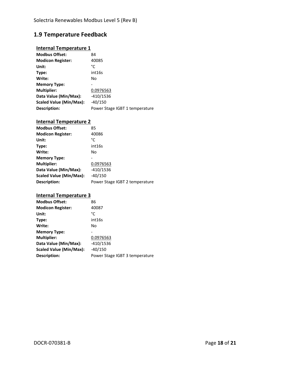# **1.9 Temperature Feedback**

### **Internal Temperature 1**

| <b>Modbus Offset:</b>    | 84                             |
|--------------------------|--------------------------------|
| <b>Modicon Register:</b> | 40085                          |
| Unit:                    | °C                             |
| Type:                    | int16s                         |
| Write:                   | No                             |
| <b>Memory Type:</b>      |                                |
| <b>Multiplier:</b>       | 0.0976563                      |
| Data Value (Min/Max):    | $-410/1536$                    |
| Scaled Value (Min/Max):  | $-40/150$                      |
| Description:             | Power Stage IGBT 1 temperature |

### **Internal Temperature 2**

| <b>Modbus Offset:</b>    | 85                             |
|--------------------------|--------------------------------|
| <b>Modicon Register:</b> | 40086                          |
| Unit:                    | °C                             |
| Type:                    | int16s                         |
| Write:                   | No                             |
| <b>Memory Type:</b>      |                                |
| <b>Multiplier:</b>       | 0.0976563                      |
| Data Value (Min/Max):    | $-410/1536$                    |
| Scaled Value (Min/Max):  | $-40/150$                      |
| Description:             | Power Stage IGBT 2 temperature |

#### **Internal Temperature 3**

| <b>Modbus Offset:</b>    | 86                             |
|--------------------------|--------------------------------|
| <b>Modicon Register:</b> | 40087                          |
| Unit:                    | °C                             |
| Type:                    | int16s                         |
| Write:                   | No                             |
| <b>Memory Type:</b>      |                                |
| <b>Multiplier:</b>       | 0.0976563                      |
| Data Value (Min/Max):    | $-410/1536$                    |
| Scaled Value (Min/Max):  | $-40/150$                      |
| Description:             | Power Stage IGBT 3 temperature |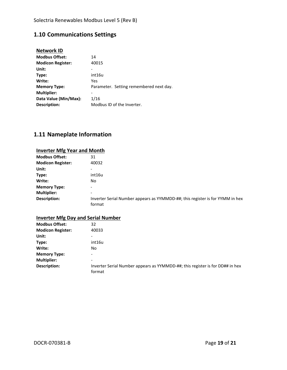# **1.10 Communications Settings**

| <b>Network ID</b>        |                                         |
|--------------------------|-----------------------------------------|
| <b>Modbus Offset:</b>    | 14                                      |
| <b>Modicon Register:</b> | 40015                                   |
| Unit:                    |                                         |
| Type:                    | int16u                                  |
| Write:                   | Yes                                     |
| <b>Memory Type:</b>      | Parameter. Setting remembered next day. |
| <b>Multiplier:</b>       |                                         |
| Data Value (Min/Max):    | 1/16                                    |
| Description:             | Modbus ID of the Inverter.              |

# **1.11 Nameplate Information**

| <b>Inverter Mfg Year and Month</b> |                                                                                         |
|------------------------------------|-----------------------------------------------------------------------------------------|
| <b>Modbus Offset:</b>              | 31                                                                                      |
| <b>Modicon Register:</b>           | 40032                                                                                   |
| Unit:                              |                                                                                         |
| Type:                              | int16u                                                                                  |
| Write:                             | No                                                                                      |
| <b>Memory Type:</b>                |                                                                                         |
| <b>Multiplier:</b>                 |                                                                                         |
| Description:                       | Inverter Serial Number appears as YYMMDD-##; this register is for YYMM in hex<br>format |

| <b>Inverter Mfg Day and Serial Number</b> |
|-------------------------------------------|
|-------------------------------------------|

| <b>Modbus Offset:</b>    | 32                                                                                      |
|--------------------------|-----------------------------------------------------------------------------------------|
| <b>Modicon Register:</b> | 40033                                                                                   |
| Unit:                    | -                                                                                       |
| Type:                    | int16u                                                                                  |
| Write:                   | No                                                                                      |
| <b>Memory Type:</b>      | -                                                                                       |
| <b>Multiplier:</b>       | -                                                                                       |
| Description:             | Inverter Serial Number appears as YYMMDD-##; this register is for DD## in hex<br>format |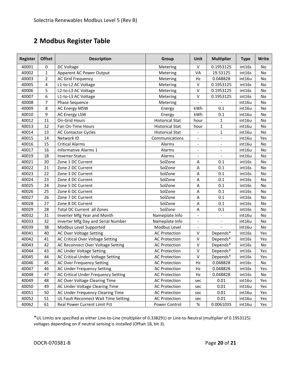# **Modbus Register Table**

| <b>Register</b> | <b>Offset</b>  | <b>Description</b>                   | Group                  | Unit                     | <b>Multiplier</b>        | <b>Type</b> | Write     |
|-----------------|----------------|--------------------------------------|------------------------|--------------------------|--------------------------|-------------|-----------|
| 40001           | $\mathbf 0$    | DC Voltage                           | Metering               | $\vee$                   | 0.1953125                | int16s      | <b>No</b> |
| 40002           | $\mathbf{1}$   | Apparent AC Power Output             | Metering               | VA                       | 19.53125                 | int16s      | No        |
| 40003           | $\overline{2}$ | AC Grid Frequency                    | Metering               | Hz                       | 0.048828                 | int16u      | No        |
| 40005           | 4              | L1-to-L2 AC Voltage                  | Metering               | $\vee$                   | 0.1953125                | int16s      | No        |
| 40006           | 5              | L2-to-L3 AC Voltage                  | Metering               | $\vee$                   | 0.1953125                | int16s      | No        |
| 40007           | 6              | L1-to-L3 AC Voltage                  | Metering               | $\vee$                   | 0.1953125                | int16s      | No        |
| 40008           | $\overline{7}$ | Phase Sequence                       | Metering               | $\overline{a}$           |                          | int16u      | No        |
| 40009           | 8              | <b>AC Energy MSW</b>                 | Energy                 | kWh                      | 0.1                      | int16u      | No        |
| 40010           | 9              | <b>AC Energy LSW</b>                 | Energy                 | kWh                      | 0.1                      | int16u      | No        |
| 40012           | 11             | On-Grid Hours                        | <b>Historical Stat</b> | hour                     | 1                        | int16u      | No        |
| 40013           | 12             | Fan On-Time Hours                    | <b>Historical Stat</b> | hour                     | 1                        | int16u      | No        |
| 40014           | 13             | <b>AC Contactor Cycles</b>           | <b>Historical Stat</b> | $\overline{\phantom{a}}$ | 1                        | int16u      | No        |
| 40015           | 14             | Network ID                           | Communications         | $\overline{\phantom{a}}$ | $\overline{\phantom{a}}$ | int16u      | Yes       |
| 40016           | 15             | <b>Critical Alarms</b>               | Alarms                 | $\overline{\phantom{a}}$ | $\overline{\phantom{a}}$ | int16u      | No        |
| 40017           | 16             | <b>Informative Alarms 1</b>          | Alarms                 | $\overline{\phantom{a}}$ | $\blacksquare$           | int16u      | No        |
| 40019           | 18             | <b>Inverter Status</b>               | Alarms                 | $\overline{a}$           |                          | int16u      | No        |
| 40021           | 20             | Zone 1 DC Current                    | SolZone                | Α                        | 0.1                      | int16s      | No        |
| 40022           | 21             | Zone 2 DC Current                    | SolZone                | Α                        | 0.1                      | int16s      | No        |
| 40023           | 22             | Zone 3 DC Current                    | SolZone                | A                        | 0.1                      | int16s      | No        |
| 40024           | 23             | Zone 4 DC Current                    | SolZone                | Α                        | 0.1                      | int16s      | No        |
| 40025           | 24             | Zone 5 DC Current                    | SolZone                | A                        | 0.1                      | int16s      | No        |
| 40026           | 25             | Zone 6 DC Current                    | SolZone                | Α                        | 0.1                      | int16s      | No        |
| 40027           | 26             | Zone 7 DC Current                    | SolZone                | Α                        | 0.1                      | int16s      | No        |
| 40028           | 27             | Zone 8 DC Current                    | SolZone                | Α                        | 0.1                      | int16s      | No        |
| 40029           | 28             | <b>Total DC Current all Zones</b>    | SolZone                | Α                        | 0.1                      | int16s      | No        |
| 40032           | 31             | Inverter Mfg Year and Month          | Nameplate Info         |                          |                          | int16u      | No        |
| 40033           | 32             | Inverter Mfg Day and Serial Number   | Nameplate Info         | $\overline{\phantom{a}}$ |                          | int16u      | No        |
| 40039           | 38             | Modbus Level Supported               | Modbus Level           | $\overline{\phantom{a}}$ |                          | Int16u      | No        |
| 40041           | 40             | AC Over Voltage Setting              | <b>AC Protection</b>   | $\vee$                   | Depends*                 | int16s      | Yes       |
| 40042           | 41             | AC Critical Over Voltage Setting     | <b>AC Protection</b>   | $\vee$                   | Depends*                 | int16s      | Yes       |
| 40043           | 42             | AC Reconnect Over Voltage Setting    | <b>AC Protection</b>   | $\vee$                   | Depends*                 | int16s      | No        |
| 40044           | 43             | <b>AC Under Voltage Setting</b>      | <b>AC Protection</b>   | $\mathsf{V}$             | Depends*                 | int16s      | Yes       |
| 40045           | 44             | AC Critical Under Voltage Setting    | <b>AC Protection</b>   | $\mathsf{V}$             | Depends*                 | int16s      | Yes       |
| 40046           | 45             | <b>AC Over Frequency Setting</b>     | <b>AC Protection</b>   | Hz                       | 0.048828                 | int16s      | No        |
| 40047           | 46             | AC Under Frequency Setting           | <b>AC Protection</b>   | Hz                       | 0.048828                 | int16s      | Yes       |
| 40048           | 47             | AC Critical Under Frequency Setting  | <b>AC Protection</b>   | Hz                       | 0.048828                 | int16s      | No        |
| 40049           | 48             | AC Over Voltage Clearing Time        | <b>AC Protection</b>   | sec                      | 0.01                     | int16u      | Yes       |
| 40050           | 49             | AC Under Voltage Clearing Time       | <b>AC Protection</b>   | sec                      | 0.01                     | int16u      | Yes       |
| 40051           | 50             | AC Under Frequency Clearing Time     | <b>AC Protection</b>   | sec                      | 0.01                     | int16u      | Yes       |
| 40052           | 51             | UL Fault Reconnect Wait Time Setting | <b>AC Protection</b>   | sec                      | 0.01                     | int16u      | Yes       |
| 40062           | 61             | Real Power Current Limit Pct         | Power Control          | $\%$                     | 0.0061035                | int16u      | Yes       |

\*UL Limits are specified as either Line‐to‐Line (multiplier of 0.338291) or Line‐to‐Neutral (multiplier of 0.1953125) voltages depending on if neutral sensing is installed (Offset 18, bit 3).